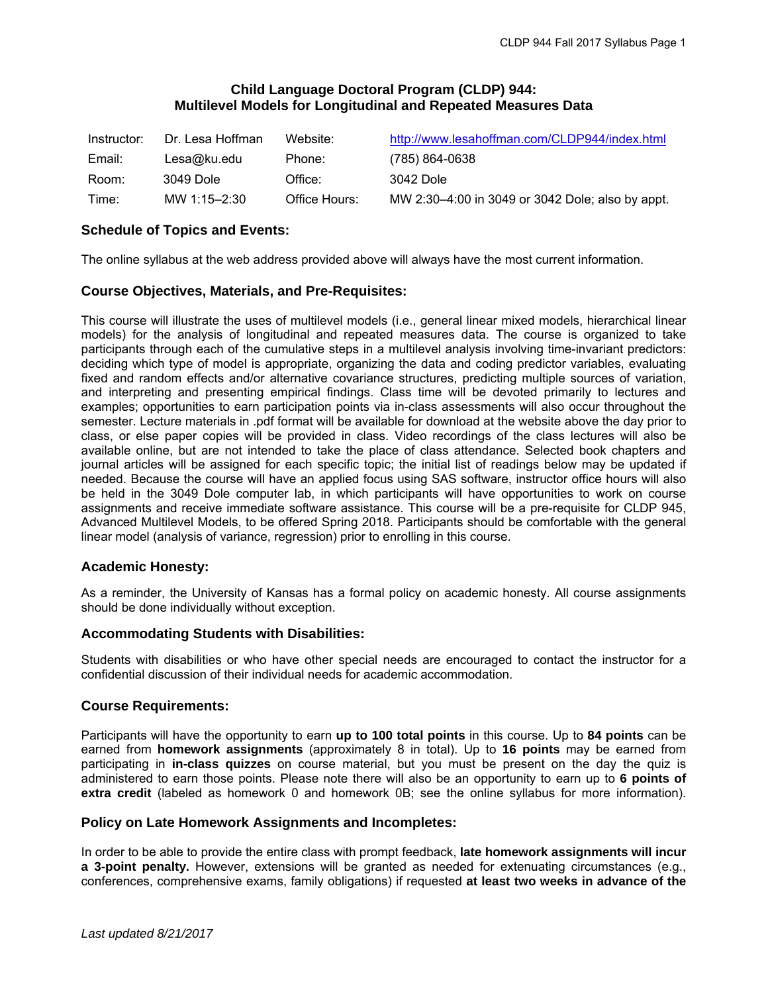# **Child Language Doctoral Program (CLDP) 944: Multilevel Models for Longitudinal and Repeated Measures Data**

| Instructor: | Dr. Lesa Hoffman | Website:      | http://www.lesahoffman.com/CLDP944/index.html    |
|-------------|------------------|---------------|--------------------------------------------------|
| Email:      | Lesa@ku.edu      | Phone:        | (785) 864-0638                                   |
| Room:       | 3049 Dole        | Office:       | 3042 Dole                                        |
| Time:       | MW 1:15-2:30     | Office Hours: | MW 2:30-4:00 in 3049 or 3042 Dole; also by appt. |

# **Schedule of Topics and Events:**

The online syllabus at the web address provided above will always have the most current information.

## **Course Objectives, Materials, and Pre-Requisites:**

This course will illustrate the uses of multilevel models (i.e., general linear mixed models, hierarchical linear models) for the analysis of longitudinal and repeated measures data. The course is organized to take participants through each of the cumulative steps in a multilevel analysis involving time-invariant predictors: deciding which type of model is appropriate, organizing the data and coding predictor variables, evaluating fixed and random effects and/or alternative covariance structures, predicting multiple sources of variation, and interpreting and presenting empirical findings. Class time will be devoted primarily to lectures and examples; opportunities to earn participation points via in-class assessments will also occur throughout the semester. Lecture materials in .pdf format will be available for download at the website above the day prior to class, or else paper copies will be provided in class. Video recordings of the class lectures will also be available online, but are not intended to take the place of class attendance. Selected book chapters and journal articles will be assigned for each specific topic; the initial list of readings below may be updated if needed. Because the course will have an applied focus using SAS software, instructor office hours will also be held in the 3049 Dole computer lab, in which participants will have opportunities to work on course assignments and receive immediate software assistance. This course will be a pre-requisite for CLDP 945, Advanced Multilevel Models, to be offered Spring 2018. Participants should be comfortable with the general linear model (analysis of variance, regression) prior to enrolling in this course.

## **Academic Honesty:**

As a reminder, the University of Kansas has a formal policy on academic honesty. All course assignments should be done individually without exception.

## **Accommodating Students with Disabilities:**

Students with disabilities or who have other special needs are encouraged to contact the instructor for a confidential discussion of their individual needs for academic accommodation.

#### **Course Requirements:**

Participants will have the opportunity to earn **up to 100 total points** in this course. Up to **84 points** can be earned from **homework assignments** (approximately 8 in total). Up to **16 points** may be earned from participating in **in-class quizzes** on course material, but you must be present on the day the quiz is administered to earn those points. Please note there will also be an opportunity to earn up to **6 points of extra credit** (labeled as homework 0 and homework 0B; see the online syllabus for more information).

#### **Policy on Late Homework Assignments and Incompletes:**

In order to be able to provide the entire class with prompt feedback, **late homework assignments will incur a 3-point penalty.** However, extensions will be granted as needed for extenuating circumstances (e.g., conferences, comprehensive exams, family obligations) if requested **at least two weeks in advance of the**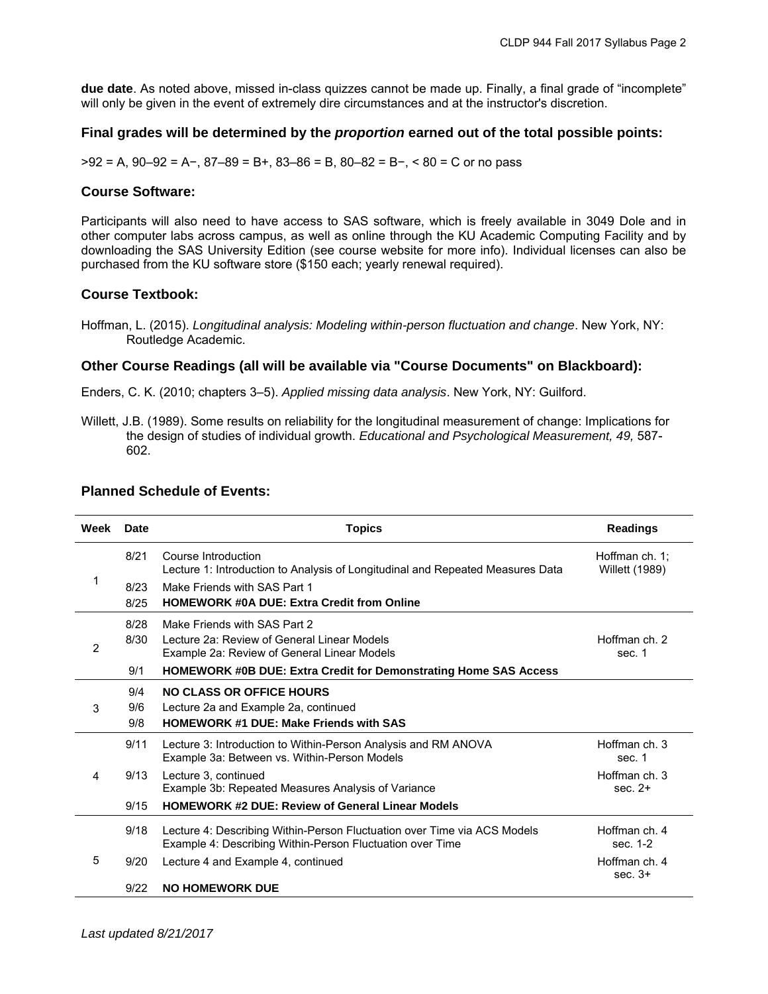**due date**. As noted above, missed in-class quizzes cannot be made up. Finally, a final grade of "incomplete" will only be given in the event of extremely dire circumstances and at the instructor's discretion.

### **Final grades will be determined by the** *proportion* **earned out of the total possible points:**

>92 = A, 90–92 = A−, 87–89 = B+, 83–86 = B, 80–82 = B−, < 80 = C or no pass

#### **Course Software:**

Participants will also need to have access to SAS software, which is freely available in 3049 Dole and in other computer labs across campus, as well as online through the KU Academic Computing Facility and by downloading the SAS University Edition (see course website for more info). Individual licenses can also be purchased from the KU software store (\$150 each; yearly renewal required).

### **Course Textbook:**

Hoffman, L. (2015). *Longitudinal analysis: Modeling within-person fluctuation and change*. New York, NY: Routledge Academic.

## **Other Course Readings (all will be available via "Course Documents" on Blackboard):**

Enders, C. K. (2010; chapters 3–5). *Applied missing data analysis*. New York, NY: Guilford.

Willett, J.B. (1989). Some results on reliability for the longitudinal measurement of change: Implications for the design of studies of individual growth. *Educational and Psychological Measurement, 49,* 587- 602.

## **Planned Schedule of Events:**

| Week | <b>Date</b> | <b>Topics</b>                                                                                                                         | <b>Readings</b>                         |
|------|-------------|---------------------------------------------------------------------------------------------------------------------------------------|-----------------------------------------|
|      | 8/21        | Course Introduction<br>Lecture 1: Introduction to Analysis of Longitudinal and Repeated Measures Data                                 | Hoffman ch. 1:<br><b>Willett (1989)</b> |
|      | 8/23        | Make Friends with SAS Part 1                                                                                                          |                                         |
|      | 8/25        | <b>HOMEWORK #0A DUE: Extra Credit from Online</b>                                                                                     |                                         |
| 2    | 8/28        | Make Friends with SAS Part 2                                                                                                          |                                         |
|      | 8/30        | Lecture 2a: Review of General Linear Models                                                                                           | Hoffman ch. 2                           |
|      |             | Example 2a: Review of General Linear Models                                                                                           | sec. 1                                  |
|      | 9/1         | <b>HOMEWORK #0B DUE: Extra Credit for Demonstrating Home SAS Access</b>                                                               |                                         |
| 3    | 9/4         | <b>NO CLASS OR OFFICE HOURS</b>                                                                                                       |                                         |
|      | 9/6         | Lecture 2a and Example 2a, continued                                                                                                  |                                         |
|      | 9/8         | <b>HOMEWORK #1 DUE: Make Friends with SAS</b>                                                                                         |                                         |
| 4    | 9/11        | Lecture 3: Introduction to Within-Person Analysis and RM ANOVA<br>Example 3a: Between vs. Within-Person Models                        | Hoffman ch. 3<br>sec. 1                 |
|      | 9/13        | Lecture 3, continued                                                                                                                  | Hoffman ch. 3                           |
|      |             | Example 3b: Repeated Measures Analysis of Variance                                                                                    | sec. $2+$                               |
|      | 9/15        | <b>HOMEWORK #2 DUE: Review of General Linear Models</b>                                                                               |                                         |
| 5    | 9/18        | Lecture 4: Describing Within-Person Fluctuation over Time via ACS Models<br>Example 4: Describing Within-Person Fluctuation over Time | Hoffman ch. 4<br>sec. 1-2               |
|      | 9/20        | Lecture 4 and Example 4, continued                                                                                                    | Hoffman ch. 4<br>sec. $3+$              |
|      | 9/22        | <b>NO HOMEWORK DUE</b>                                                                                                                |                                         |